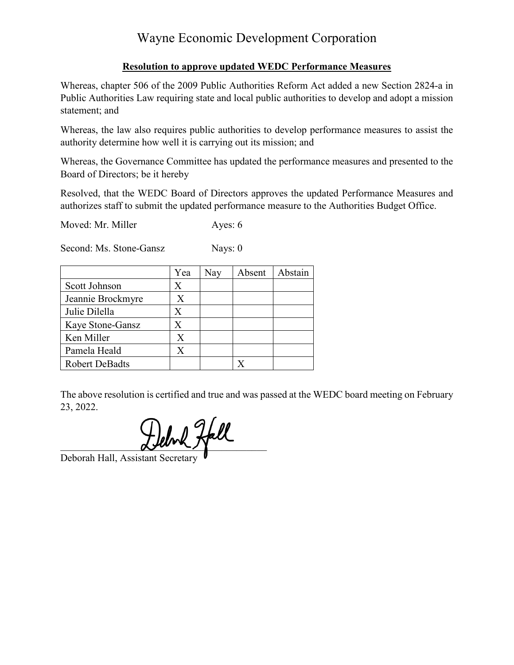# Wayne Economic Development Corporation

## **Resolution to approve updated WEDC Performance Measures**

Whereas, chapter 506 of the 2009 Public Authorities Reform Act added a new Section 2824-a in Public Authorities Law requiring state and local public authorities to develop and adopt a mission statement; and

Whereas, the law also requires public authorities to develop performance measures to assist the authority determine how well it is carrying out its mission; and

Whereas, the Governance Committee has updated the performance measures and presented to the Board of Directors; be it hereby

Resolved, that the WEDC Board of Directors approves the updated Performance Measures and authorizes staff to submit the updated performance measure to the Authorities Budget Office.

Moved: Mr. Miller Ayes: 6

Second: Ms. Stone-Gansz Nays: 0

|                       | Yea     | Nay | Absent | Abstain |
|-----------------------|---------|-----|--------|---------|
| Scott Johnson         | X       |     |        |         |
| Jeannie Brockmyre     | X       |     |        |         |
| Julie Dilella         | Х       |     |        |         |
| Kaye Stone-Gansz      | $\rm X$ |     |        |         |
| Ken Miller            |         |     |        |         |
| Pamela Heald          | X       |     |        |         |
| <b>Robert DeBadts</b> |         |     |        |         |

The above resolution is certified and true and was passed at the WEDC board meeting on February 23, 2022.

Delvk Hall

Deborah Hall, Assistant Secretary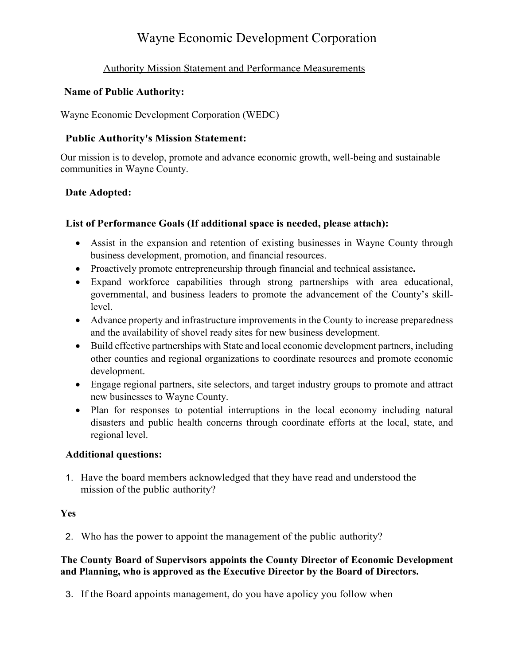## Wayne Economic Development Corporation

## Authority Mission Statement and Performance Measurements

#### **Name of Public Authority:**

Wayne Economic Development Corporation (WEDC)

## **Public Authority's Mission Statement:**

Our mission is to develop, promote and advance economic growth, well-being and sustainable communities in Wayne County.

## **Date Adopted:**

## **List of Performance Goals (If additional space is needed, please attach):**

- Assist in the expansion and retention of existing businesses in Wayne County through business development, promotion, and financial resources.
- Proactively promote entrepreneurship through financial and technical assistance**.**
- Expand workforce capabilities through strong partnerships with area educational, governmental, and business leaders to promote the advancement of the County's skilllevel.
- Advance property and infrastructure improvements in the County to increase preparedness and the availability of shovel ready sites for new business development.
- Build effective partnerships with State and local economic development partners, including other counties and regional organizations to coordinate resources and promote economic development.
- Engage regional partners, site selectors, and target industry groups to promote and attract new businesses to Wayne County.
- Plan for responses to potential interruptions in the local economy including natural disasters and public health concerns through coordinate efforts at the local, state, and regional level.

#### **Additional questions:**

1. Have the board members acknowledged that they have read and understood the mission of the public authority?

#### **Yes**

2. Who has the power to appoint the management of the public authority?

#### **The County Board of Supervisors appoints the County Director of Economic Development and Planning, who is approved as the Executive Director by the Board of Directors.**

3. If the Board appoints management, do you have apolicy you follow when